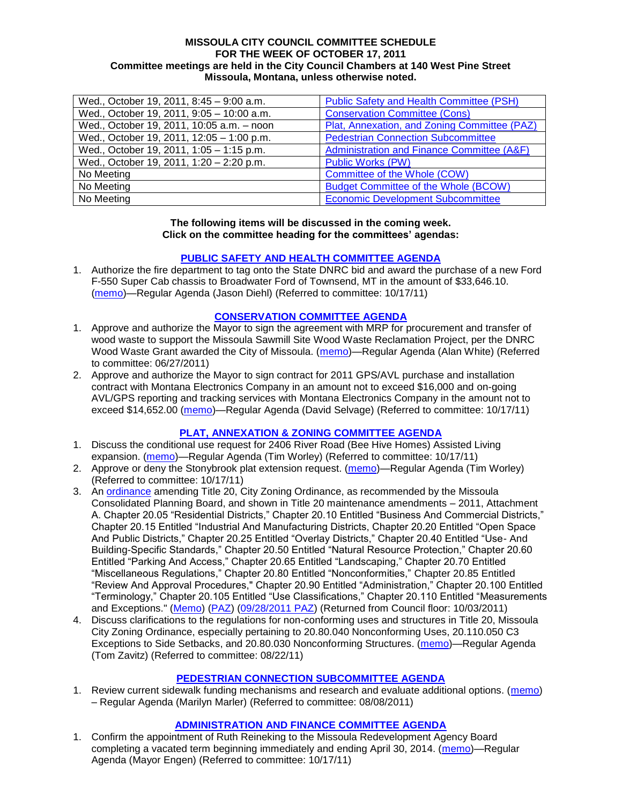#### **MISSOULA CITY COUNCIL COMMITTEE SCHEDULE FOR THE WEEK OF OCTOBER 17, 2011 Committee meetings are held in the City Council Chambers at 140 West Pine Street Missoula, Montana, unless otherwise noted.**

| Wed., October 19, 2011, 8:45 - 9:00 a.m.  | <b>Public Safety and Health Committee (PSH)</b> |
|-------------------------------------------|-------------------------------------------------|
| Wed., October 19, 2011, 9:05 - 10:00 a.m. | <b>Conservation Committee (Cons)</b>            |
| Wed., October 19, 2011, 10:05 a.m. - noon | Plat, Annexation, and Zoning Committee (PAZ)    |
| Wed., October 19, 2011, 12:05 - 1:00 p.m. | <b>Pedestrian Connection Subcommittee</b>       |
| Wed., October 19, 2011, 1:05 - 1:15 p.m.  | Administration and Finance Committee (A&F)      |
| Wed., October 19, 2011, 1:20 - 2:20 p.m.  | <b>Public Works (PW)</b>                        |
| No Meeting                                | Committee of the Whole (COW)                    |
| No Meeting                                | <b>Budget Committee of the Whole (BCOW)</b>     |
| No Meeting                                | <b>Economic Development Subcommittee</b>        |

#### **The following items will be discussed in the coming week. Click on the committee heading for the committees' agendas:**

### **[PUBLIC SAFETY AND HEALTH COMMITTEE AGENDA](http://www.ci.missoula.mt.us/DocumentCenterii.aspx?FID=836)**

1. Authorize the fire department to tag onto the State DNRC bid and award the purchase of a new Ford F-550 Super Cab chassis to Broadwater Ford of Townsend, MT in the amount of \$33,646.10. [\(memo\)](http://www.ci.missoula.mt.us/DocumentView.aspx?DID=7436)—Regular Agenda (Jason Diehl) (Referred to committee: 10/17/11)

#### **[CONSERVATION COMMITTEE](http://www.ci.missoula.mt.us/DocumentCenterii.aspx?FID=832) AGENDA**

- 1. Approve and authorize the Mayor to sign the agreement with MRP for procurement and transfer of wood waste to support the Missoula Sawmill Site Wood Waste Reclamation Project, per the DNRC Wood Waste Grant awarded the City of Missoula. [\(memo\)](http://www.ci.missoula.mt.us/DocumentView.aspx?DID=6682)—Regular Agenda (Alan White) (Referred to committee: 06/27/2011)
- 2. Approve and authorize the Mayor to sign contract for 2011 GPS/AVL purchase and installation contract with Montana Electronics Company in an amount not to exceed \$16,000 and on-going AVL/GPS reporting and tracking services with Montana Electronics Company in the amount not to exceed \$14,652.00 [\(memo\)](http://www.ci.missoula.mt.us/DocumentView.aspx?DID=7432)—Regular Agenda (David Selvage) (Referred to committee: 10/17/11)

### **[PLAT, ANNEXATION & ZONING COMMITTEE AGENDA](http://www.ci.missoula.mt.us/DocumentCenterii.aspx?FID=831)**

- 1. Discuss the conditional use request for 2406 River Road (Bee Hive Homes) Assisted Living expansion. [\(memo\)](http://www.ci.missoula.mt.us/DocumentView.aspx?DID=7427)—Regular Agenda (Tim Worley) (Referred to committee: 10/17/11)
- 2. Approve or deny the Stonybrook plat extension request. [\(memo\)](http://www.ci.missoula.mt.us/DocumentView.aspx?DID=7428)—Regular Agenda (Tim Worley) (Referred to committee: 10/17/11)
- 3. An [ordinance](http://www.ci.missoula.mt.us/DocumentView.aspx?DID=7211) amending Title 20, City Zoning Ordinance, as recommended by the Missoula Consolidated Planning Board, and shown in Title 20 maintenance amendments – 2011, Attachment A. Chapter 20.05 "Residential Districts," Chapter 20.10 Entitled "Business And Commercial Districts," Chapter 20.15 Entitled "Industrial And Manufacturing Districts, Chapter 20.20 Entitled "Open Space And Public Districts," Chapter 20.25 Entitled "Overlay Districts," Chapter 20.40 Entitled "Use- And Building-Specific Standards," Chapter 20.50 Entitled "Natural Resource Protection," Chapter 20.60 Entitled "Parking And Access," Chapter 20.65 Entitled "Landscaping," Chapter 20.70 Entitled "Miscellaneous Regulations," Chapter 20.80 Entitled "Nonconformities," Chapter 20.85 Entitled "Review And Approval Procedures," Chapter 20.90 Entitled "Administration," Chapter 20.100 Entitled "Terminology," Chapter 20.105 Entitled "Use Classifications," Chapter 20.110 Entitled "Measurements and Exceptions." [\(Memo\)](http://www.ci.missoula.mt.us/DocumentView.aspx?DID=7143) [\(PAZ\)](http://www.ci.missoula.mt.us/Archive.aspx?ADID=4405) [\(09/28/2011 PAZ\)](http://www.ci.missoula.mt.us/Archive.aspx?ADID=4526) (Returned from Council floor: 10/03/2011)
- 4. Discuss clarifications to the regulations for non-conforming uses and structures in Title 20, Missoula City Zoning Ordinance, especially pertaining to 20.80.040 Nonconforming Uses, 20.110.050 C3 Exceptions to Side Setbacks, and 20.80.030 Nonconforming Structures. [\(memo\)](http://www.ci.missoula.mt.us/DocumentView.aspx?DID=7140)—Regular Agenda (Tom Zavitz) (Referred to committee: 08/22/11)

### **[PEDESTRIAN CONNECTION SUBCOMMITTEE](http://www.ci.missoula.mt.us/DocumentCenterii.aspx?FID=845) AGENDA**

1. Review current sidewalk funding mechanisms and research and evaluate additional options. [\(memo\)](http://www.ci.missoula.mt.us/DocumentView.aspx?DID=7017) – Regular Agenda (Marilyn Marler) (Referred to committee: 08/08/2011)

### **[ADMINISTRATION AND FINANCE COMMITTEE AGENDA](http://www.ci.missoula.mt.us/DocumentCenterii.aspx?FID=830)**

1. Confirm the appointment of Ruth Reineking to the Missoula Redevelopment Agency Board completing a vacated term beginning immediately and ending April 30, 2014. [\(memo\)](http://www.ci.missoula.mt.us/DocumentView.aspx?DID=7437)—Regular Agenda (Mayor Engen) (Referred to committee: 10/17/11)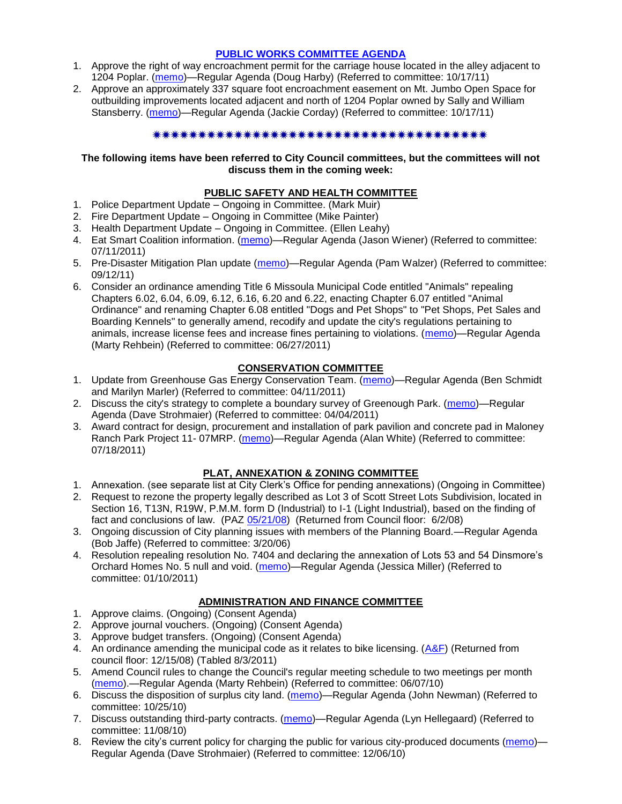### **[PUBLIC WORKS COMMITTEE AGENDA](http://www.ci.missoula.mt.us/DocumentCenterii.aspx?FID=833)**

- 1. Approve the right of way encroachment permit for the carriage house located in the alley adjacent to 1204 Poplar. [\(memo\)](http://www.ci.missoula.mt.us/DocumentView.aspx?DID=7430)—Regular Agenda (Doug Harby) (Referred to committee: 10/17/11)
- 2. Approve an approximately 337 square foot encroachment easement on Mt. Jumbo Open Space for outbuilding improvements located adjacent and north of 1204 Poplar owned by Sally and William Stansberry. [\(memo\)](http://www.ci.missoula.mt.us/DocumentView.aspx?DID=7431)—Regular Agenda (Jackie Corday) (Referred to committee: 10/17/11)

#### \*\*\*\*\*\*\*\*\*\*\*\*\*\*\*\*\*\*\*\*\*\*\*\*\*\*\*\*\*\*\*\*\*

#### **The following items have been referred to City Council committees, but the committees will not discuss them in the coming week:**

### **PUBLIC SAFETY AND HEALTH COMMITTEE**

- 1. Police Department Update Ongoing in Committee. (Mark Muir)
- 2. Fire Department Update Ongoing in Committee (Mike Painter)
- 3. Health Department Update Ongoing in Committee. (Ellen Leahy)
- 4. Eat Smart Coalition information. [\(memo\)](http://www.ci.missoula.mt.us/DocumentView.aspx?DID=6776)—Regular Agenda (Jason Wiener) (Referred to committee: 07/11/2011)
- 5. Pre-Disaster Mitigation Plan update [\(memo\)](http://www.ci.missoula.mt.us/DocumentView.aspx?DID=7230)—Regular Agenda (Pam Walzer) (Referred to committee: 09/12/11)
- 6. Consider an ordinance amending Title 6 Missoula Municipal Code entitled "Animals" repealing Chapters 6.02, 6.04, 6.09, 6.12, 6.16, 6.20 and 6.22, enacting Chapter 6.07 entitled "Animal Ordinance" and renaming Chapter 6.08 entitled "Dogs and Pet Shops" to "Pet Shops, Pet Sales and Boarding Kennels" to generally amend, recodify and update the city's regulations pertaining to animals, increase license fees and increase fines pertaining to violations. [\(memo\)](http://www.ci.missoula.mt.us/DocumentView.aspx?DID=6698)—Regular Agenda (Marty Rehbein) (Referred to committee: 06/27/2011)

### **CONSERVATION COMMITTEE**

- 1. Update from Greenhouse Gas Energy Conservation Team. [\(memo\)](http://www.ci.missoula.mt.us/DocumentView.aspx?DID=5945)—Regular Agenda (Ben Schmidt and Marilyn Marler) (Referred to committee: 04/11/2011)
- 2. Discuss the city's strategy to complete a boundary survey of Greenough Park. [\(memo\)](http://www.ci.missoula.mt.us/DocumentView.aspx?DID=5875)—Regular Agenda (Dave Strohmaier) (Referred to committee: 04/04/2011)
- 3. Award contract for design, procurement and installation of park pavilion and concrete pad in Maloney Ranch Park Project 11- 07MRP. [\(memo\)](http://www.ci.missoula.mt.us/DocumentView.aspx?DID=6859)—Regular Agenda (Alan White) (Referred to committee: 07/18/2011)

### **PLAT, ANNEXATION & ZONING COMMITTEE**

- 1. Annexation. (see separate list at City Clerk's Office for pending annexations) (Ongoing in Committee)
- 2. Request to rezone the property legally described as Lot 3 of Scott Street Lots Subdivision, located in Section 16, T13N, R19W, P.M.M. form D (Industrial) to I-1 (Light Industrial), based on the finding of fact and conclusions of law. (PAZ [05/21/08\)](ftp://ftp.ci.missoula.mt.us/Packets/Council/2008/2008-06-02/080521paz.pdf) (Returned from Council floor: 6/2/08)
- 3. Ongoing discussion of City planning issues with members of the Planning Board.—Regular Agenda (Bob Jaffe) (Referred to committee: 3/20/06)
- 4. Resolution repealing resolution No. 7404 and declaring the annexation of Lots 53 and 54 Dinsmore's Orchard Homes No. 5 null and void. [\(memo\)](http://www.ci.missoula.mt.us/DocumentView.aspx?DID=5349)—Regular Agenda (Jessica Miller) (Referred to committee: 01/10/2011)

### **ADMINISTRATION AND FINANCE COMMITTEE**

- 1. Approve claims. (Ongoing) (Consent Agenda)
- 2. Approve journal vouchers. (Ongoing) (Consent Agenda)
- 3. Approve budget transfers. (Ongoing) (Consent Agenda)
- 4. An ordinance amending the municipal code as it relates to bike licensing.  $(A&F)$  (Returned from council floor: 12/15/08) (Tabled 8/3/2011)
- 5. Amend Council rules to change the Council's regular meeting schedule to two meetings per month [\(memo\)](http://www.ci.missoula.mt.us/DocumentView.aspx?DID=4027).—Regular Agenda (Marty Rehbein) (Referred to committee: 06/07/10)
- 6. Discuss the disposition of surplus city land. [\(memo\)](http://www.ci.missoula.mt.us/DocumentView.aspx?DID=4862)—Regular Agenda (John Newman) (Referred to committee: 10/25/10)
- 7. Discuss outstanding third-party contracts. [\(memo\)](http://www.ci.missoula.mt.us/DocumentView.aspx?DID=4956)—Regular Agenda (Lyn Hellegaard) (Referred to committee: 11/08/10)
- 8. Review the city's current policy for charging the public for various city-produced documents [\(memo\)](http://www.ci.missoula.mt.us/DocumentView.aspx?DID=5143) Regular Agenda (Dave Strohmaier) (Referred to committee: 12/06/10)